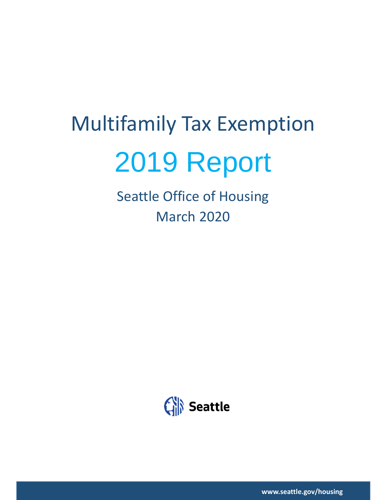# Multifamily Tax Exemption 2019 Report

Seattle Office of Housing March 2020



**www.seattle.gov/housing**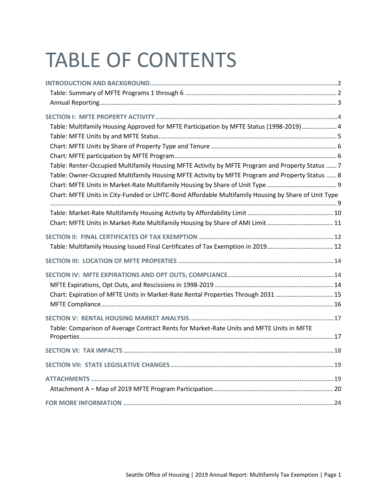## TABLE OF CONTENTS

| Table: Multifamily Housing Approved for MFTE Participation by MFTE Status (1998-2019)  4                                                                                                                                                                                                                                                                                               |
|----------------------------------------------------------------------------------------------------------------------------------------------------------------------------------------------------------------------------------------------------------------------------------------------------------------------------------------------------------------------------------------|
| Table: Renter-Occupied Multifamily Housing MFTE Activity by MFTE Program and Property Status  7<br>Table: Owner-Occupied Multifamily Housing MFTE Activity by MFTE Program and Property Status  8<br>Chart: MFTE Units in Market-Rate Multifamily Housing by Share of Unit Type<br>Chart: MFTE Units in City-Funded or LIHTC-Bond Affordable Multifamily Housing by Share of Unit Type |
| Chart: MFTE Units in Market-Rate Multifamily Housing by Share of AMI Limit  11                                                                                                                                                                                                                                                                                                         |
| Table: Multifamily Housing Issued Final Certificates of Tax Exemption in 2019 12                                                                                                                                                                                                                                                                                                       |
|                                                                                                                                                                                                                                                                                                                                                                                        |
| Chart: Expiration of MFTE Units in Market-Rate Rental Properties Through 2031  15                                                                                                                                                                                                                                                                                                      |
| Table: Comparison of Average Contract Rents for Market-Rate Units and MFTE Units in MFTE                                                                                                                                                                                                                                                                                               |
|                                                                                                                                                                                                                                                                                                                                                                                        |
|                                                                                                                                                                                                                                                                                                                                                                                        |
|                                                                                                                                                                                                                                                                                                                                                                                        |
|                                                                                                                                                                                                                                                                                                                                                                                        |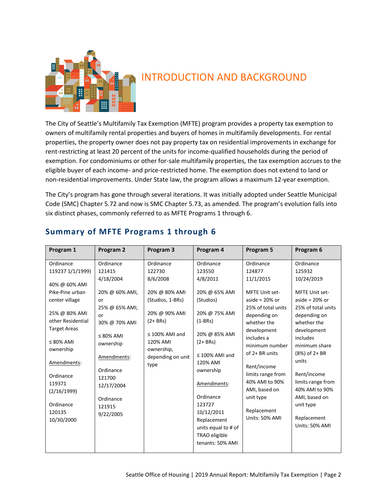

## <span id="page-2-0"></span>INTRODUCTION AND BACKGROUND

The City of Seattle's Multifamily Tax Exemption (MFTE) program provides a property tax exemption to owners of multifamily rental properties and buyers of homes in multifamily developments. For rental properties, the property owner does not pay property tax on residential improvements in exchange for rent-restricting at least 20 percent of the units for income-qualified households during the period of exemption. For condominiums or other for-sale multifamily properties, the tax exemption accrues to the eligible buyer of each income- and price-restricted home. The exemption does not extend to land or non-residential improvements. Under State law, the program allows a maximum 12-year exemption.

The City's program has gone through several iterations. It was initially adopted under Seattle Municipal Code (SMC) Chapter 5.72 and now is SMC Chapter 5.73, as amended. The program's evolution falls into six distinct phases, commonly referred to as MFTE Programs 1 through 6.

| Program 1                                                                                                                                                                                                                                                                 | Program 2                                                                                                                                                                                                                 | Program 3                                                                                                                                                                          | Program 4                                                                                                                                                                                                                                                                                                  | Program 5                                                                                                                                                                                                                                                                                                          | Program 6                                                                                                                                                                                                                                                                                                                  |
|---------------------------------------------------------------------------------------------------------------------------------------------------------------------------------------------------------------------------------------------------------------------------|---------------------------------------------------------------------------------------------------------------------------------------------------------------------------------------------------------------------------|------------------------------------------------------------------------------------------------------------------------------------------------------------------------------------|------------------------------------------------------------------------------------------------------------------------------------------------------------------------------------------------------------------------------------------------------------------------------------------------------------|--------------------------------------------------------------------------------------------------------------------------------------------------------------------------------------------------------------------------------------------------------------------------------------------------------------------|----------------------------------------------------------------------------------------------------------------------------------------------------------------------------------------------------------------------------------------------------------------------------------------------------------------------------|
| Ordinance<br>119237 1/1/1999)<br>40% @ 60% AMI<br>Pike-Pine urban<br>center village<br>25% @ 80% AMI<br>other Residential<br><b>Target Areas</b><br>$\leq$ 80% AMI<br>ownership<br>Amendments:<br>Ordinance<br>119371<br>(2/16/1999)<br>Ordinance<br>120135<br>10/30/2000 | Ordinance<br>121415<br>4/18/2004<br>20% @ 60% AMI,<br>or<br>25% @ 65% AMI,<br>or<br>30% @ 70% AMI<br>$\leq 80\%$ AMI<br>ownership<br>Amendments:<br>Ordinance<br>121700<br>12/17/2004<br>Ordinance<br>121915<br>9/22/2005 | Ordinance<br>122730<br>8/6/2008<br>20% @ 80% AMI<br>(Studios, 1-BRs)<br>20% @ 90% AMI<br>$(2 + BRs)$<br>$\leq$ 100% AMI and<br>120% AMI<br>ownership,<br>depending on unit<br>type | Ordinance<br>123550<br>4/8/2011<br>20% @ 65% AMI<br>(Studios)<br>20% @ 75% AMI<br>$(1-BRs)$<br>20% @ 85% AMI<br>$(2 + BRs)$<br>$\leq$ 100% AMI and<br>120% AMI<br>ownership<br>Amendments:<br>Ordinance<br>123727<br>10/12/2011<br>Replacement<br>units equal to # of<br>TRAO eligible<br>tenants: 50% AMI | Ordinance<br>124877<br>11/1/2015<br>MFTE Unit set-<br>aside = $20\%$ or<br>25% of total units<br>depending on<br>whether the<br>development<br>includes a<br>minimum number<br>of 2+ BR units<br>Rent/income<br>limits range from<br>40% AMI to 90%<br>AMI, based on<br>unit type<br>Replacement<br>Units: 50% AMI | Ordinance<br>125932<br>10/24/2019<br>MFTE Unit set-<br>aside = $20\%$ or<br>25% of total units<br>depending on<br>whether the<br>development<br>includes<br>minimum share<br>$(8%)$ of 2+ BR<br>units<br>Rent/income<br>limits range from<br>40% AMI to 90%<br>AMI, based on<br>unit type<br>Replacement<br>Units: 50% AMI |

#### <span id="page-2-1"></span>**Summary of MFTE Programs 1 through 6**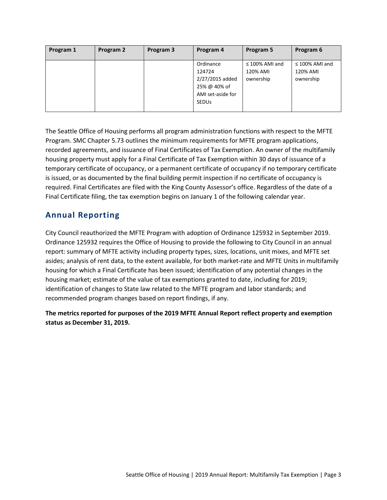| Program 1<br>Program 2 | Program 3<br>Program 4                                                                      | Program 5                                    | Program 6                                    |
|------------------------|---------------------------------------------------------------------------------------------|----------------------------------------------|----------------------------------------------|
|                        | Ordinance<br>124724<br>2/27/2015 added<br>25% @ 40% of<br>AMI set-aside for<br><b>SEDUS</b> | $\leq$ 100% AMI and<br>120% AMI<br>ownership | $\leq$ 100% AMI and<br>120% AMI<br>ownership |

The Seattle Office of Housing performs all program administration functions with respect to the MFTE Program. SMC Chapter 5.73 outlines the minimum requirements for MFTE program applications, recorded agreements, and issuance of Final Certificates of Tax Exemption. An owner of the multifamily housing property must apply for a Final Certificate of Tax Exemption within 30 days of issuance of a temporary certificate of occupancy, or a permanent certificate of occupancy if no temporary certificate is issued, or as documented by the final building permit inspection if no certificate of occupancy is required. Final Certificates are filed with the King County Assessor's office. Regardless of the date of a Final Certificate filing, the tax exemption begins on January 1 of the following calendar year.

#### <span id="page-3-0"></span>**Annual Reporting**

City Council reauthorized the MFTE Program with adoption of Ordinance 125932 in September 2019. Ordinance 125932 requires the Office of Housing to provide the following to City Council in an annual report: summary of MFTE activity including property types, sizes, locations, unit mixes, and MFTE set asides; analysis of rent data, to the extent available, for both market-rate and MFTE Units in multifamily housing for which a Final Certificate has been issued; identification of any potential changes in the housing market; estimate of the value of tax exemptions granted to date, including for 2019; identification of changes to State law related to the MFTE program and labor standards; and recommended program changes based on report findings, if any.

**The metrics reported for purposes of the 2019 MFTE Annual Report reflect property and exemption status as December 31, 2019.**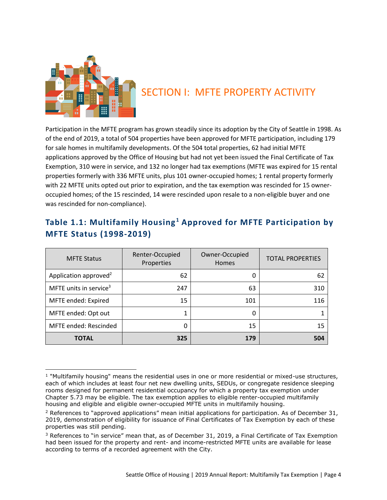

## <span id="page-4-0"></span>SECTION I: MFTE PROPERTY ACTIVITY

Participation in the MFTE program has grown steadily since its adoption by the City of Seattle in 1998. As of the end of 2019, a total of 504 properties have been approved for MFTE participation, including 179 for sale homes in multifamily developments. Of the 504 total properties, 62 had initial MFTE applications approved by the Office of Housing but had not yet been issued the Final Certificate of Tax Exemption, 310 were in service, and 132 no longer had tax exemptions (MFTE was expired for 15 rental properties formerly with 336 MFTE units, plus 101 owner-occupied homes; 1 rental property formerly with 22 MFTE units opted out prior to expiration, and the tax exemption was rescinded for 15 owneroccupied homes; of the 15 rescinded, 14 were rescinded upon resale to a non-eligible buyer and one was rescinded for non-compliance).

#### <span id="page-4-1"></span>**Table 1.1: Multifamily Housing<sup>1</sup> Approved for MFTE Participation by MFTE Status (1998-2019)**

| <b>MFTE Status</b>                 | Renter-Occupied<br>Properties | Owner-Occupied<br><b>Homes</b> | <b>TOTAL PROPERTIES</b> |
|------------------------------------|-------------------------------|--------------------------------|-------------------------|
| Application approved <sup>2</sup>  | 62                            | 0                              | 62                      |
| MFTE units in service <sup>3</sup> | 247                           | 63                             | 310                     |
| MFTE ended: Expired                | 15                            | 101                            | 116                     |
| MFTE ended: Opt out                |                               | 0                              |                         |
| MFTE ended: Rescinded              | Ω                             | 15                             | 15                      |
| <b>TOTAL</b>                       | 325                           | 179                            | 504                     |

<sup>&</sup>lt;sup>1</sup> "Multifamily housing" means the residential uses in one or more residential or mixed-use structures, each of which includes at least four net new dwelling units, SEDUs, or congregate residence sleeping rooms designed for permanent residential occupancy for which a property tax exemption under Chapter 5.73 may be eligible. The tax exemption applies to eligible renter-occupied multifamily housing and eligible and eligible owner-occupied MFTE units in multifamily housing.

 $2$  References to "approved applications" mean initial applications for participation. As of December 31, 2019, demonstration of eligibility for issuance of Final Certificates of Tax Exemption by each of these properties was still pending.

<sup>&</sup>lt;sup>3</sup> References to "in service" mean that, as of December 31, 2019, a Final Certificate of Tax Exemption had been issued for the property and rent- and income-restricted MFTE units are available for lease according to terms of a recorded agreement with the City.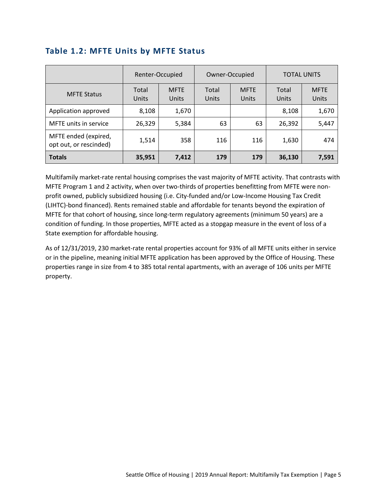|                                                | Renter-Occupied |                      | Owner-Occupied |                      | <b>TOTAL UNITS</b> |                      |
|------------------------------------------------|-----------------|----------------------|----------------|----------------------|--------------------|----------------------|
| <b>MFTE Status</b>                             | Total<br>Units  | <b>MFTE</b><br>Units | Total<br>Units | <b>MFTE</b><br>Units | Total<br>Units     | <b>MFTE</b><br>Units |
| Application approved                           | 8,108           | 1,670                |                |                      | 8,108              | 1,670                |
| MFTE units in service                          | 26,329          | 5,384                | 63             | 63                   | 26,392             | 5,447                |
| MFTE ended (expired,<br>opt out, or rescinded) | 1,514           | 358                  | 116            | 116                  | 1,630              | 474                  |
| <b>Totals</b>                                  | 35,951          | 7,412                | 179            | 179                  | 36,130             | 7,591                |

#### <span id="page-5-0"></span>**Table 1.2: MFTE Units by MFTE Status**

Multifamily market-rate rental housing comprises the vast majority of MFTE activity. That contrasts with MFTE Program 1 and 2 activity, when over two-thirds of properties benefitting from MFTE were nonprofit owned, publicly subsidized housing (i.e. City-funded and/or Low-Income Housing Tax Credit (LIHTC)-bond financed). Rents remained stable and affordable for tenants beyond the expiration of MFTE for that cohort of housing, since long-term regulatory agreements (minimum 50 years) are a condition of funding. In those properties, MFTE acted as a stopgap measure in the event of loss of a State exemption for affordable housing.

As of 12/31/2019, 230 market-rate rental properties account for 93% of all MFTE units either in service or in the pipeline, meaning initial MFTE application has been approved by the Office of Housing. These properties range in size from 4 to 385 total rental apartments, with an average of 106 units per MFTE property.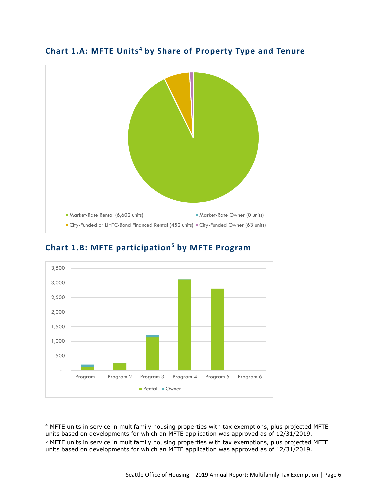

#### <span id="page-6-0"></span>**Chart 1.A: MFTE Units<sup>4</sup> by Share of Property Type and Tenure**



#### <span id="page-6-1"></span>**Chart 1.B: MFTE participation<sup>5</sup> by MFTE Program**

<sup>4</sup> MFTE units in service in multifamily housing properties with tax exemptions, plus projected MFTE units based on developments for which an MFTE application was approved as of 12/31/2019.

<sup>&</sup>lt;sup>5</sup> MFTE units in service in multifamily housing properties with tax exemptions, plus projected MFTE units based on developments for which an MFTE application was approved as of 12/31/2019.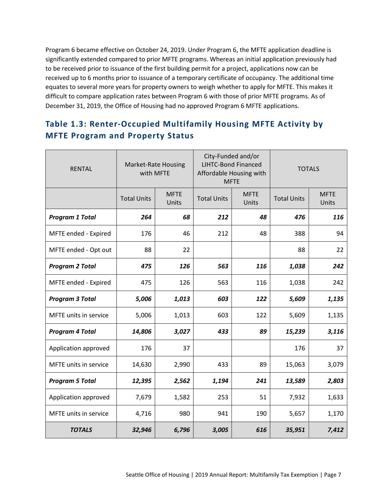Program 6 became effective on October 24, 2019. Under Program 6, the MFTE application deadline is significantly extended compared to prior MFTE programs. Whereas an initial application previously had to be received prior to issuance of the first building permit for a project, applications now can be received up to 6 months prior to issuance of a temporary certificate of occupancy. The additional time equates to several more years for property owners to weigh whether to apply for MFTE. This makes it difficult to compare application rates between Program 6 with those of prior MFTE programs. As of December 31, 2019, the Office of Housing had no approved Program 6 MFTE applications.

#### <span id="page-7-0"></span>**Table 1.3: Renter-Occupied Multifamily Housing MFTE Activity by MFTE Program and Property Status**

| <b>RENTAL</b>                | <b>Market-Rate Housing</b><br>with MFTE |                      | City-Funded and/or<br><b>LIHTC-Bond Financed</b><br>Affordable Housing with<br><b>MFTE</b> |                      | <b>TOTALS</b>      |                      |
|------------------------------|-----------------------------------------|----------------------|--------------------------------------------------------------------------------------------|----------------------|--------------------|----------------------|
|                              | <b>Total Units</b>                      | <b>MFTE</b><br>Units | <b>Total Units</b>                                                                         | <b>MFTE</b><br>Units | <b>Total Units</b> | <b>MFTE</b><br>Units |
| <b>Program 1 Total</b>       | 264                                     | 68                   | 212                                                                                        | 48                   | 476                | 116                  |
| MFTE ended - Expired         | 176                                     | 46                   | 212                                                                                        | 48                   | 388                | 94                   |
| MFTE ended - Opt out         | 88                                      | 22                   |                                                                                            |                      | 88                 | 22                   |
| <b>Program 2 Total</b>       | 475                                     | 126                  | 563                                                                                        | 116                  | 1,038              | 242                  |
| MFTE ended - Expired         | 475                                     | 126                  | 563                                                                                        | 116                  | 1,038              | 242                  |
| <b>Program 3 Total</b>       | 5,006                                   | 1,013                | 603                                                                                        | 122                  | 5,609              | 1,135                |
| <b>MFTE</b> units in service | 5,006                                   | 1,013                | 603                                                                                        | 122                  | 5,609              | 1,135                |
| <b>Program 4 Total</b>       | 14,806                                  | 3,027                | 433                                                                                        | 89                   | 15,239             | 3,116                |
| Application approved         | 176                                     | 37                   |                                                                                            |                      | 176                | 37                   |
| MFTE units in service        | 14,630                                  | 2,990                | 433                                                                                        | 89                   | 15,063             | 3,079                |
| <b>Program 5 Total</b>       | 12,395                                  | 2,562                | 1,194                                                                                      | 241                  | 13,589             | 2,803                |
| Application approved         | 7,679                                   | 1,582                | 253                                                                                        | 51                   | 7,932              | 1,633                |
| MFTE units in service        | 4,716                                   | 980                  | 941                                                                                        | 190                  | 5,657              | 1,170                |
| <b>TOTALS</b>                | 32,946                                  | 6,796                | 3,005                                                                                      | 616                  | 35,951             | 7,412                |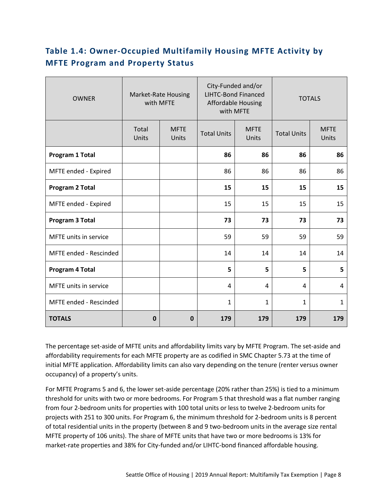#### <span id="page-8-0"></span>**Table 1.4: Owner-Occupied Multifamily Housing MFTE Activity by MFTE Program and Property Status**

| <b>OWNER</b>                 | <b>Market-Rate Housing</b><br>with MFTE |                      | City-Funded and/or<br><b>LIHTC-Bond Financed</b><br><b>Affordable Housing</b><br>with MFTE |                      | <b>TOTALS</b>      |                      |
|------------------------------|-----------------------------------------|----------------------|--------------------------------------------------------------------------------------------|----------------------|--------------------|----------------------|
|                              | Total<br>Units                          | <b>MFTE</b><br>Units | <b>Total Units</b>                                                                         | <b>MFTE</b><br>Units | <b>Total Units</b> | <b>MFTE</b><br>Units |
| Program 1 Total              |                                         |                      | 86                                                                                         | 86                   | 86                 | 86                   |
| MFTE ended - Expired         |                                         |                      | 86                                                                                         | 86                   | 86                 | 86                   |
| Program 2 Total              |                                         |                      | 15                                                                                         | 15                   | 15                 | 15                   |
| MFTE ended - Expired         |                                         |                      | 15                                                                                         | 15                   | 15                 | 15                   |
| Program 3 Total              |                                         |                      | 73                                                                                         | 73                   | 73                 | 73                   |
| <b>MFTE</b> units in service |                                         |                      | 59                                                                                         | 59                   | 59                 | 59                   |
| MFTE ended - Rescinded       |                                         |                      | 14                                                                                         | 14                   | 14                 | 14                   |
| Program 4 Total              |                                         |                      | 5                                                                                          | 5                    | 5                  | 5                    |
| MFTE units in service        |                                         |                      | 4                                                                                          | 4                    | 4                  | 4                    |
| MFTE ended - Rescinded       |                                         |                      | 1                                                                                          | $\mathbf{1}$         | $\mathbf{1}$       | 1                    |
| <b>TOTALS</b>                | $\mathbf 0$                             | $\mathbf 0$          | 179                                                                                        | 179                  | 179                | 179                  |

The percentage set-aside of MFTE units and affordability limits vary by MFTE Program. The set-aside and affordability requirements for each MFTE property are as codified in SMC Chapter 5.73 at the time of initial MFTE application. Affordability limits can also vary depending on the tenure (renter versus owner occupancy) of a property's units.

For MFTE Programs 5 and 6, the lower set-aside percentage (20% rather than 25%) is tied to a minimum threshold for units with two or more bedrooms. For Program 5 that threshold was a flat number ranging from four 2-bedroom units for properties with 100 total units or less to twelve 2-bedroom units for projects with 251 to 300 units. For Program 6, the minimum threshold for 2-bedroom units is 8 percent of total residential units in the property (between 8 and 9 two-bedroom units in the average size rental MFTE property of 106 units). The share of MFTE units that have two or more bedrooms is 13% for market-rate properties and 38% for City-funded and/or LIHTC-bond financed affordable housing.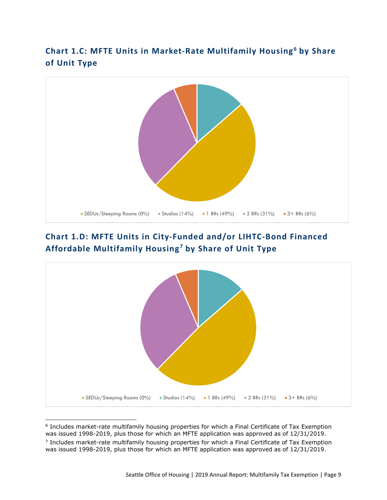#### <span id="page-9-0"></span>**Chart 1.C: MFTE Units in Market-Rate Multifamily Housing<sup>6</sup> by Share of Unit Type**



#### <span id="page-9-1"></span>**Chart 1.D: MFTE Units in City-Funded and/or LIHTC-Bond Financed Affordable Multifamily Housing <sup>7</sup> by Share of Unit Type**



<sup>6</sup> Includes market-rate multifamily housing properties for which a Final Certificate of Tax Exemption was issued 1998-2019, plus those for which an MFTE application was approved as of 12/31/2019.

<sup>&</sup>lt;sup>7</sup> Includes market-rate multifamily housing properties for which a Final Certificate of Tax Exemption was issued 1998-2019, plus those for which an MFTE application was approved as of 12/31/2019.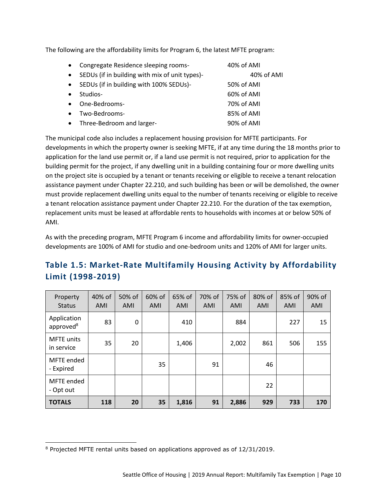The following are the affordability limits for Program 6, the latest MFTE program:

| $\bullet$ | Congregate Residence sleeping rooms-           | 40% of AMI |
|-----------|------------------------------------------------|------------|
| $\bullet$ | SEDUs (if in building with mix of unit types)- | 40% of AMI |
| $\bullet$ | SEDUs (if in building with 100% SEDUs)-        | 50% of AMI |
|           | Studios-                                       | 60% of AMI |
| $\bullet$ | One-Bedrooms-                                  | 70% of AMI |
|           | Two-Bedrooms-                                  | 85% of AMI |
| $\bullet$ | Three-Bedroom and larger-                      | 90% of AMI |

The municipal code also includes a replacement housing provision for MFTE participants. For developments in which the property owner is seeking MFTE, if at any time during the 18 months prior to application for the land use permit or, if a land use permit is not required, prior to application for the building permit for the project, if any dwelling unit in a building containing four or more dwelling units on the project site is occupied by a tenant or tenants receiving or eligible to receive a tenant relocation assistance payment under Chapter 22.210, and such building has been or will be demolished, the owner must provide replacement dwelling units equal to the number of tenants receiving or eligible to receive a tenant relocation assistance payment under Chapter 22.210. For the duration of the tax exemption, replacement units must be leased at affordable rents to households with incomes at or below 50% of AMI.

As with the preceding program, MFTE Program 6 income and affordability limits for owner-occupied developments are 100% of AMI for studio and one-bedroom units and 120% of AMI for larger units.

#### <span id="page-10-0"></span>**Table 1.5: Market-Rate Multifamily Housing Activity by Affordability Limit (1998-2019)**

| Property<br><b>Status</b>            | 40% of<br>AMI | 50% of<br>AMI | 60% of<br>AMI | 65% of<br>AMI | 70% of<br>AMI | 75% of<br>AMI | 80% of<br>AMI | 85% of<br>AMI | 90% of<br>AMI |
|--------------------------------------|---------------|---------------|---------------|---------------|---------------|---------------|---------------|---------------|---------------|
| Application<br>approved <sup>8</sup> | 83            | 0             |               | 410           |               | 884           |               | 227           | 15            |
| <b>MFTE</b> units<br>in service      | 35            | 20            |               | 1,406         |               | 2,002         | 861           | 506           | 155           |
| MFTE ended<br>- Expired              |               |               | 35            |               | 91            |               | 46            |               |               |
| MFTE ended<br>- Opt out              |               |               |               |               |               |               | 22            |               |               |
| <b>TOTALS</b>                        | 118           | 20            | 35            | 1,816         | 91            | 2,886         | 929           | 733           | 170           |

<sup>8</sup> Projected MFTE rental units based on applications approved as of 12/31/2019.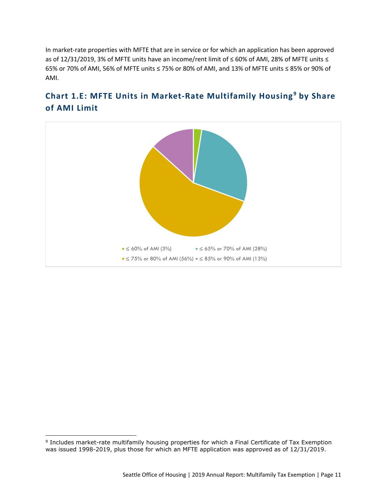In market-rate properties with MFTE that are in service or for which an application has been approved as of 12/31/2019, 3% of MFTE units have an income/rent limit of ≤ 60% of AMI, 28% of MFTE units ≤ 65% or 70% of AMI, 56% of MFTE units ≤ 75% or 80% of AMI, and 13% of MFTE units ≤ 85% or 90% of AMI.



#### <span id="page-11-0"></span>**Chart 1.E: MFTE Units in Market-Rate Multifamily Housing<sup>9</sup> by Share of AMI Limit**

<sup>&</sup>lt;sup>9</sup> Includes market-rate multifamily housing properties for which a Final Certificate of Tax Exemption was issued 1998-2019, plus those for which an MFTE application was approved as of 12/31/2019.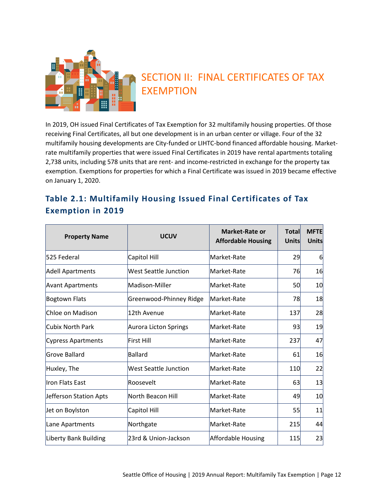

## <span id="page-12-0"></span>SECTION II: FINAL CERTIFICATES OF TAX EXEMPTION

In 2019, OH issued Final Certificates of Tax Exemption for 32 multifamily housing properties. Of those receiving Final Certificates, all but one development is in an urban center or village. Four of the 32 multifamily housing developments are City-funded or LIHTC-bond financed affordable housing. Marketrate multifamily properties that were issued Final Certificates in 2019 have rental apartments totaling 2,738 units, including 578 units that are rent- and income-restricted in exchange for the property tax exemption. Exemptions for properties for which a Final Certificate was issued in 2019 became effective on January 1, 2020.

#### <span id="page-12-1"></span>**Table 2.1: Multifamily Housing Issued Final Certificates of Tax Exemption in 2019**

| <b>Property Name</b>    | <b>UCUV</b>             | <b>Market-Rate or</b><br><b>Affordable Housing</b> | <b>Total</b><br>Units | <b>MFTE</b><br><b>Units</b> |
|-------------------------|-------------------------|----------------------------------------------------|-----------------------|-----------------------------|
| 525 Federal             | Capitol Hill            | Market-Rate                                        | 29                    | $6 \mid$                    |
| Adell Apartments        | West Seattle Junction   | Market-Rate                                        | 76                    | 16                          |
| <b>Avant Apartments</b> | Madison-Miller          | Market-Rate                                        | 50                    | 10                          |
| Bogtown Flats           | Greenwood-Phinney Ridge | Market-Rate                                        | 78                    | 18                          |
| Chloe on Madison        | 12th Avenue             | Market-Rate                                        | 137                   | 28                          |
| Cubix North Park        | Aurora Licton Springs   | Market-Rate                                        | 93                    | 19                          |
| Cypress Apartments      | First Hill              | Market-Rate                                        | 237                   | 47                          |
| Grove Ballard           | Ballard                 | Market-Rate                                        | 61                    | 16                          |
| Huxley, The             | West Seattle Junction   | Market-Rate                                        | 110                   | 22                          |
| Iron Flats East         | Roosevelt               | Market-Rate                                        | 63                    | 13                          |
| Jefferson Station Apts  | North Beacon Hill       | Market-Rate                                        | 49                    | 10                          |
| Jet on Boylston         | Capitol Hill            | Market-Rate                                        | 55                    | 11                          |
| Lane Apartments         | Northgate               | Market-Rate                                        | 215                   | 44                          |
| Liberty Bank Building   | 23rd & Union-Jackson    | Affordable Housing                                 | 115                   | 23                          |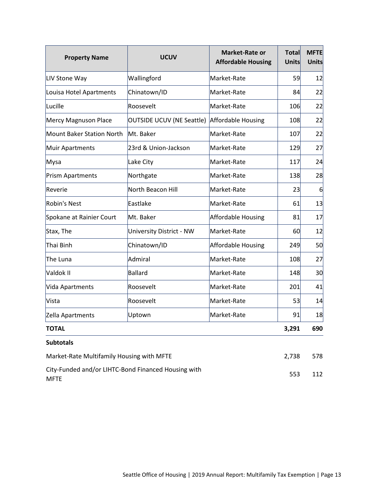| <b>Property Name</b>                                               | <b>Market-Rate or</b><br><b>UCUV</b><br><b>Affordable Housing</b> |                    | Total<br>Units | <b>MFTE</b><br><b>Units</b> |
|--------------------------------------------------------------------|-------------------------------------------------------------------|--------------------|----------------|-----------------------------|
| LIV Stone Way                                                      | Wallingford                                                       | Market-Rate        | 59             | 12                          |
| Louisa Hotel Apartments                                            | Chinatown/ID                                                      | Market-Rate        | 84             | 22                          |
| Lucille                                                            | Roosevelt                                                         | Market-Rate        | 106            | 22                          |
| Mercy Magnuson Place                                               | OUTSIDE UCUV (NE Seattle) Affordable Housing                      |                    | 108            | 22                          |
| Mount Baker Station North                                          | Mt. Baker                                                         | Market-Rate        | 107            | 22                          |
| Muir Apartments                                                    | 23rd & Union-Jackson                                              | Market-Rate        | 129            | 27                          |
| Mysa                                                               | Lake City                                                         | Market-Rate        | 117            | 24                          |
| Prism Apartments                                                   | Northgate                                                         | Market-Rate        | 138            | 28                          |
| Reverie                                                            | North Beacon Hill                                                 | Market-Rate        | 23             | 6                           |
| <b>Robin's Nest</b>                                                | Eastlake                                                          | Market-Rate        | 61             | 13                          |
| Spokane at Rainier Court                                           | Mt. Baker                                                         | Affordable Housing | 81             | 17                          |
| Stax, The                                                          | University District - NW                                          | Market-Rate        | 60             | 12                          |
| Thai Binh                                                          | Chinatown/ID                                                      | Affordable Housing | 249            | 50                          |
| The Luna                                                           | Admiral                                                           | Market-Rate        | 108            | 27                          |
| Valdok II                                                          | Ballard                                                           | Market-Rate        | 148            | 30                          |
| Vida Apartments                                                    | Roosevelt                                                         | Market-Rate        | 201            | 41                          |
| Vista                                                              | Roosevelt                                                         | Market-Rate        | 53             | 14                          |
| Zella Apartments                                                   | Uptown                                                            | Market-Rate        | 91             | 18                          |
| <b>TOTAL</b>                                                       |                                                                   |                    | 3,291          | 690                         |
| <b>Subtotals</b>                                                   |                                                                   |                    |                |                             |
| Market-Rate Multifamily Housing with MFTE                          | 2,738                                                             | 578                |                |                             |
| City-Funded and/or LIHTC-Bond Financed Housing with<br><b>MFTE</b> | 553                                                               | 112                |                |                             |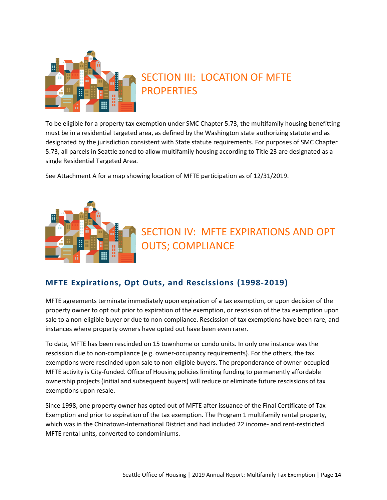

## <span id="page-14-0"></span>SECTION III: LOCATION OF MFTE PROPERTIES

To be eligible for a property tax exemption under SMC Chapter 5.73, the multifamily housing benefitting must be in a residential targeted area, as defined by the Washington state authorizing statute and as designated by the jurisdiction consistent with State statute requirements. For purposes of SMC Chapter 5.73, all parcels in Seattle zoned to allow multifamily housing according to Title 23 are designated as a single Residential Targeted Area.

See Attachment A for a map showing location of MFTE participation as of 12/31/2019.



## <span id="page-14-1"></span>SECTION IV: MFTE EXPIRATIONS AND OPT OUTS; COMPLIANCE

#### <span id="page-14-2"></span>**MFTE Expirations, Opt Outs, and Rescissions (1998-2019)**

MFTE agreements terminate immediately upon expiration of a tax exemption, or upon decision of the property owner to opt out prior to expiration of the exemption, or rescission of the tax exemption upon sale to a non-eligible buyer or due to non-compliance. Rescission of tax exemptions have been rare, and instances where property owners have opted out have been even rarer.

To date, MFTE has been rescinded on 15 townhome or condo units. In only one instance was the rescission due to non-compliance (e.g. owner-occupancy requirements). For the others, the tax exemptions were rescinded upon sale to non-eligible buyers. The preponderance of owner-occupied MFTE activity is City-funded. Office of Housing policies limiting funding to permanently affordable ownership projects (initial and subsequent buyers) will reduce or eliminate future rescissions of tax exemptions upon resale.

Since 1998, one property owner has opted out of MFTE after issuance of the Final Certificate of Tax Exemption and prior to expiration of the tax exemption. The Program 1 multifamily rental property, which was in the Chinatown-International District and had included 22 income- and rent-restricted MFTE rental units, converted to condominiums.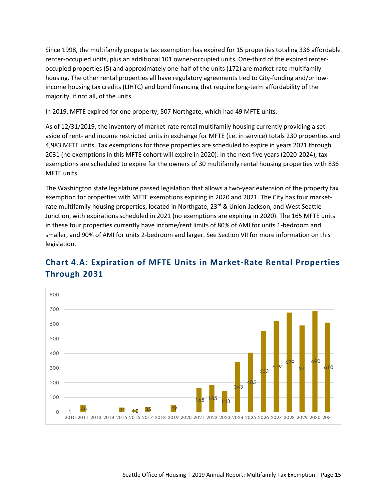Since 1998, the multifamily property tax exemption has expired for 15 properties totaling 336 affordable renter-occupied units, plus an additional 101 owner-occupied units. One-third of the expired renteroccupied properties (5) and approximately one-half of the units (172) are market-rate multifamily housing. The other rental properties all have regulatory agreements tied to City-funding and/or lowincome housing tax credits (LIHTC) and bond financing that require long-term affordability of the majority, if not all, of the units.

In 2019, MFTE expired for one property, 507 Northgate, which had 49 MFTE units.

As of 12/31/2019, the inventory of market-rate rental multifamily housing currently providing a setaside of rent- and income restricted units in exchange for MFTE (i.e. in service) totals 230 properties and 4,983 MFTE units. Tax exemptions for those properties are scheduled to expire in years 2021 through 2031 (no exemptions in this MFTE cohort will expire in 2020). In the next five years (2020-2024), tax exemptions are scheduled to expire for the owners of 30 multifamily rental housing properties with 836 MFTE units.

The Washington state legislature passed legislation that allows a two-year extension of the property tax exemption for properties with MFTE exemptions expiring in 2020 and 2021. The City has four marketrate multifamily housing properties, located in Northgate, 23<sup>rd</sup> & Union-Jackson, and West Seattle Junction, with expirations scheduled in 2021 (no exemptions are expiring in 2020). The 165 MFTE units in these four properties currently have income/rent limits of 80% of AMI for units 1-bedroom and smaller, and 90% of AMI for units 2-bedroom and larger. See Section VII for more information on this legislation.

#### <span id="page-15-0"></span>**Chart 4.A: Expiration of MFTE Units in Market-Rate Rental Properties Through 2031**

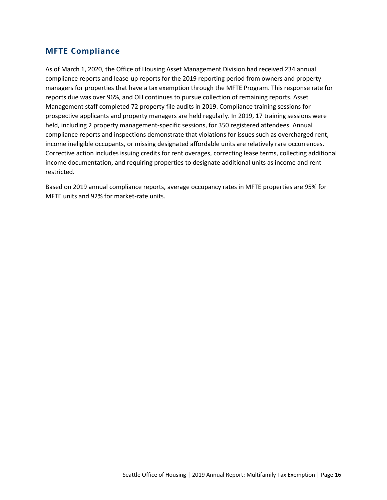#### <span id="page-16-0"></span>**MFTE Compliance**

As of March 1, 2020, the Office of Housing Asset Management Division had received 234 annual compliance reports and lease-up reports for the 2019 reporting period from owners and property managers for properties that have a tax exemption through the MFTE Program. This response rate for reports due was over 96%, and OH continues to pursue collection of remaining reports. Asset Management staff completed 72 property file audits in 2019. Compliance training sessions for prospective applicants and property managers are held regularly. In 2019, 17 training sessions were held, including 2 property management-specific sessions, for 350 registered attendees. Annual compliance reports and inspections demonstrate that violations for issues such as overcharged rent, income ineligible occupants, or missing designated affordable units are relatively rare occurrences. Corrective action includes issuing credits for rent overages, correcting lease terms, collecting additional income documentation, and requiring properties to designate additional units as income and rent restricted.

Based on 2019 annual compliance reports, average occupancy rates in MFTE properties are 95% for MFTE units and 92% for market-rate units.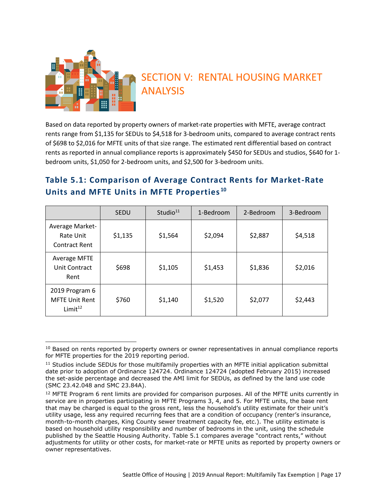

## <span id="page-17-0"></span>SECTION V: RENTAL HOUSING MARKET ANALYSIS

Based on data reported by property owners of market-rate properties with MFTE, average contract rents range from \$1,135 for SEDUs to \$4,518 for 3-bedroom units, compared to average contract rents of \$698 to \$2,016 for MFTE units of that size range. The estimated rent differential based on contract rents as reported in annual compliance reports is approximately \$450 for SEDUs and studios, \$640 for 1 bedroom units, \$1,050 for 2-bedroom units, and \$2,500 for 3-bedroom units.

#### <span id="page-17-1"></span>**Table 5.1: Comparison of Average Contract Rents for Market-Rate Units and MFTE Units in MFTE Properties <sup>10</sup>**

|                                                                | <b>SEDU</b> | Studio <sup>11</sup> | 1-Bedroom | 2-Bedroom | 3-Bedroom |
|----------------------------------------------------------------|-------------|----------------------|-----------|-----------|-----------|
| Average Market-<br>Rate Unit<br><b>Contract Rent</b>           | \$1,135     | \$1,564              | \$2,094   | \$2,887   | \$4,518   |
| Average MFTE<br>Unit Contract<br>Rent                          | \$698       | \$1,105              | \$1,453   | \$1,836   | \$2,016   |
| 2019 Program 6<br><b>MFTE Unit Rent</b><br>Limit <sup>12</sup> | \$760       | \$1,140              | \$1,520   | \$2,077   | \$2,443   |

<sup>&</sup>lt;sup>10</sup> Based on rents reported by property owners or owner representatives in annual compliance reports for MFTE properties for the 2019 reporting period.

<sup>&</sup>lt;sup>11</sup> Studios include SEDUs for those multifamily properties with an MFTE initial application submittal date prior to adoption of Ordinance 124724. Ordinance 124724 (adopted February 2015) increased the set-aside percentage and decreased the AMI limit for SEDUs, as defined by the land use code (SMC 23.42.048 and SMC 23.84A).

 $12$  MFTE Program 6 rent limits are provided for comparison purposes. All of the MFTE units currently in service are in properties participating in MFTE Programs 3, 4, and 5. For MFTE units, the base rent that may be charged is equal to the gross rent, less the household's utility estimate for their unit's utility usage, less any required recurring fees that are a condition of occupancy (renter's insurance, month-to-month charges, King County sewer treatment capacity fee, etc.). The utility estimate is based on household utility responsibility and number of bedrooms in the unit, using the schedule published by the Seattle Housing Authority. Table 5.1 compares average "contract rents," without adjustments for utility or other costs, for market-rate or MFTE units as reported by property owners or owner representatives.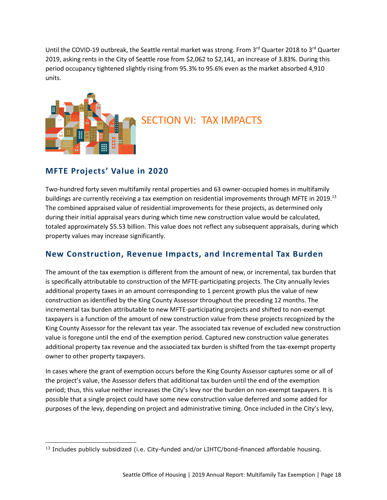Until the COVID-19 outbreak, the Seattle rental market was strong. From  $3^{rd}$  Quarter 2018 to  $3^{rd}$  Quarter 2019, asking rents in the City of Seattle rose from \$2,062 to \$2,141, an increase of 3.83%. During this period occupancy tightened slightly rising from 95.3% to 95.6% even as the market absorbed 4,910 units.



## <span id="page-18-0"></span>SECTION VI: TAX IMPACTS

#### **MFTE Projects' Value in 2020**

Two-hundred forty seven multifamily rental properties and 63 owner-occupied homes in multifamily buildings are currently receiving a tax exemption on residential improvements through MFTE in 2019.<sup>13</sup> The combined appraised value of residential improvements for these projects, as determined only during their initial appraisal years during which time new construction value would be calculated, totaled approximately \$5.53 billion. This value does not reflect any subsequent appraisals, during which property values may increase significantly.

#### **New Construction, Revenue Impacts, and Incremental Tax Burden**

The amount of the tax exemption is different from the amount of new, or incremental, tax burden that is specifically attributable to construction of the MFTE-participating projects. The City annually levies additional property taxes in an amount corresponding to 1 percent growth plus the value of new construction as identified by the King County Assessor throughout the preceding 12 months. The incremental tax burden attributable to new MFTE-participating projects and shifted to non-exempt taxpayers is a function of the amount of new construction value from these projects recognized by the King County Assessor for the relevant tax year. The associated tax revenue of excluded new construction value is foregone until the end of the exemption period. Captured new construction value generates additional property tax revenue and the associated tax burden is shifted from the tax-exempt property owner to other property taxpayers.

In cases where the grant of exemption occurs before the King County Assessor captures some or all of the project's value, the Assessor defers that additional tax burden until the end of the exemption period; thus, this value neither increases the City's levy nor the burden on non-exempt taxpayers. It is possible that a single project could have some new construction value deferred and some added for purposes of the levy, depending on project and administrative timing. Once included in the City's levy,

<sup>&</sup>lt;sup>13</sup> Includes publicly subsidized (i.e. City-funded and/or LIHTC/bond-financed affordable housing.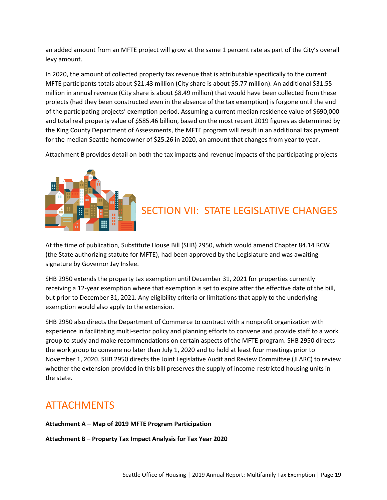an added amount from an MFTE project will grow at the same 1 percent rate as part of the City's overall levy amount.

In 2020, the amount of collected property tax revenue that is attributable specifically to the current MFTE participants totals about \$21.43 million (City share is about \$5.77 million). An additional \$31.55 million in annual revenue (City share is about \$8.49 million) that would have been collected from these projects (had they been constructed even in the absence of the tax exemption) is forgone until the end of the participating projects' exemption period. Assuming a current median residence value of \$690,000 and total real property value of \$585.46 billion, based on the most recent 2019 figures as determined by the King County Department of Assessments, the MFTE program will result in an additional tax payment for the median Seattle homeowner of \$25.26 in 2020, an amount that changes from year to year.

Attachment B provides detail on both the tax impacts and revenue impacts of the participating projects



## <span id="page-19-0"></span>SECTION VII: STATE LEGISLATIVE CHANGES

At the time of publication, Substitute House Bill (SHB) 2950, which would amend Chapter 84.14 RCW (the State authorizing statute for MFTE), had been approved by the Legislature and was awaiting signature by Governor Jay Inslee.

SHB 2950 extends the property tax exemption until December 31, 2021 for properties currently receiving a 12-year exemption where that exemption is set to expire after the effective date of the bill, but prior to December 31, 2021. Any eligibility criteria or limitations that apply to the underlying exemption would also apply to the extension.

SHB 2950 also directs the Department of Commerce to contract with a nonprofit organization with experience in facilitating multi-sector policy and planning efforts to convene and provide staff to a work group to study and make recommendations on certain aspects of the MFTE program. SHB 2950 directs the work group to convene no later than July 1, 2020 and to hold at least four meetings prior to November 1, 2020. SHB 2950 directs the Joint Legislative Audit and Review Committee (JLARC) to review whether the extension provided in this bill preserves the supply of income-restricted housing units in the state.

#### <span id="page-19-1"></span>**ATTACHMENTS**

#### **Attachment A – Map of 2019 MFTE Program Participation**

**Attachment B – Property Tax Impact Analysis for Tax Year 2020**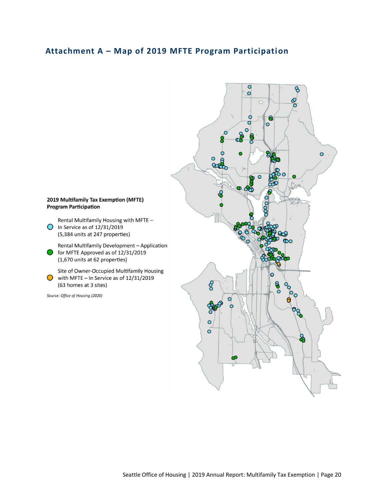#### <span id="page-20-0"></span>**Attachment A – Map of 2019 MFTE Program Participation**

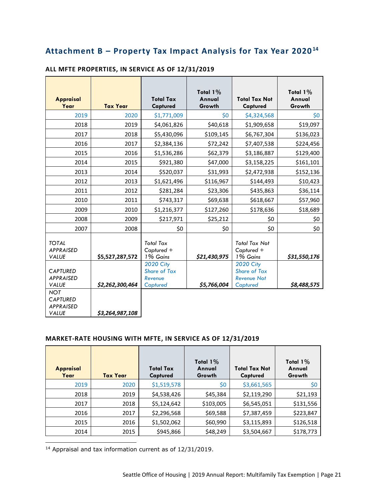#### **Attachment B – Property Tax Impact Analysis for Tax Year 2020<sup>14</sup>**

| <b>Appraisal</b><br>Year                                          | <b>Tax Year</b> | <b>Total Tax</b><br>Captured                                   | Total 1%<br>Annual<br>Growth | <b>Total Tax Not</b><br>Captured                                          | Total 1%<br>Annual<br>Growth |
|-------------------------------------------------------------------|-----------------|----------------------------------------------------------------|------------------------------|---------------------------------------------------------------------------|------------------------------|
| 2019                                                              | 2020            | \$1,771,009                                                    | \$0                          | \$4,324,568                                                               | \$0                          |
| 2018                                                              | 2019            | \$4,061,826                                                    | \$40,618                     | \$1,909,658                                                               | \$19,097                     |
| 2017                                                              | 2018            | \$5,430,096                                                    | \$109,145                    | \$6,767,304                                                               | \$136,023                    |
| 2016                                                              | 2017            | \$2,384,136                                                    | \$72,242                     | \$7,407,538                                                               | \$224,456                    |
| 2015                                                              | 2016            | \$1,536,286                                                    | \$62,379                     | \$3,186,887                                                               | \$129,400                    |
| 2014                                                              | 2015            | \$921,380                                                      | \$47,000                     | \$3,158,225                                                               | \$161,101                    |
| 2013                                                              | 2014            | \$520,037                                                      | \$31,993                     | \$2,472,938                                                               | \$152,136                    |
| 2012                                                              | 2013            | \$1,621,496                                                    | \$116,967                    | \$144,493                                                                 | \$10,423                     |
| 2011                                                              | 2012            | \$281,284                                                      | \$23,306                     | \$435,863                                                                 | \$36,114                     |
| 2010                                                              | 2011            | \$743,317                                                      | \$69,638                     | \$618,667                                                                 | \$57,960                     |
| 2009                                                              | 2010            | \$1,216,377                                                    | \$127,260                    | \$178,636                                                                 | \$18,689                     |
| 2008                                                              | 2009            | \$217,971                                                      | \$25,212                     | \$0                                                                       | \$0                          |
| 2007                                                              | 2008            | \$0                                                            | \$0                          | \$0                                                                       | \$0                          |
| <b>TOTAL</b><br><b>APPRAISED</b><br><b>VALUE</b>                  | \$5,527,287,572 | <b>Total Tax</b><br>Captured +<br>1% Gains                     | \$21,430,975                 | <b>Total Tax Not</b><br>Captured +<br>1% Gains                            | \$31,550,176                 |
| <b>CAPTURED</b><br><b>APPRAISED</b><br><b>VALUE</b>               | \$2,262,300,464 | <b>2020 City</b><br><b>Share of Tax</b><br>Revenue<br>Captured | \$5,766,004                  | <b>2020 City</b><br><b>Share of Tax</b><br><b>Revenue Not</b><br>Captured | \$8,488,575                  |
| <b>NOT</b><br><b>CAPTURED</b><br><b>APPRAISED</b><br><b>VALUE</b> | \$3,264,987,108 |                                                                |                              |                                                                           |                              |

#### **ALL MFTE PROPERTIES, IN SERVICE AS OF 12/31/2019**

#### **MARKET-RATE HOUSING WITH MFTE, IN SERVICE AS OF 12/31/2019**

| <b>Appraisal</b><br>Year | <b>Tax Year</b> | <b>Total Tax</b><br><b>Captured</b> | Total $1\%$<br>Annual<br>Growth | <b>Total Tax Not</b><br>Captured | Total $1\%$<br>Annual<br>Growth |
|--------------------------|-----------------|-------------------------------------|---------------------------------|----------------------------------|---------------------------------|
| 2019                     | 2020            | \$1,519,578                         | \$0                             | \$3,661,565                      | \$0                             |
| 2018                     | 2019            | \$4,538,426                         | \$45,384                        | \$2,119,290                      | \$21,193                        |
| 2017                     | 2018            | \$5,124,642                         | \$103,005                       | \$6,545,051                      | \$131,556                       |
| 2016                     | 2017            | \$2,296,568                         | \$69,588                        | \$7,387,459                      | \$223,847                       |
| 2015                     | 2016            | \$1,502,062                         | \$60,990                        | \$3,115,893                      | \$126,518                       |
| 2014                     | 2015            | \$945,866                           | \$48,249                        | \$3,504,667                      | \$178,773                       |

<sup>14</sup> Appraisal and tax information current as of 12/31/2019.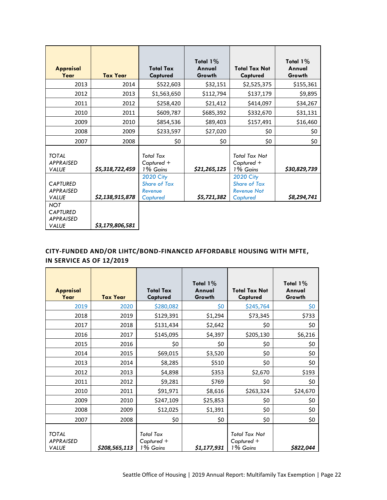| <b>Appraisal</b><br>Year                                          | <b>Tax Year</b> | <b>Total Tax</b><br>Captured                                   | Total $1\%$<br>Annual<br>Growth | <b>Total Tax Not</b><br>Captured                                          | Total $1\%$<br>Annual<br>Growth |
|-------------------------------------------------------------------|-----------------|----------------------------------------------------------------|---------------------------------|---------------------------------------------------------------------------|---------------------------------|
| 2013                                                              | 2014            | \$522,603                                                      | \$32,151                        | \$2,525,375                                                               | \$155,361                       |
| 2012                                                              | 2013            | \$1,563,650                                                    | \$112,794                       | \$137,179                                                                 | \$9,895                         |
| 2011                                                              | 2012            | \$258,420                                                      | \$21,412                        | \$414,097                                                                 | \$34,267                        |
| 2010                                                              | 2011            | \$609,787                                                      | \$685,392                       | \$332,670                                                                 | \$31,131                        |
| 2009                                                              | 2010            | \$854,536                                                      | \$89,403                        | \$157,491                                                                 | \$16,460                        |
| 2008                                                              | 2009            | \$233,597                                                      | \$27,020                        | \$0                                                                       | \$0                             |
| 2007                                                              | 2008            | \$0                                                            | \$0                             | \$0                                                                       | \$0                             |
| <b>TOTAL</b><br><b>APPRAISED</b><br>VALUE                         | \$5,318,722,459 | <b>Total Tax</b><br>$C$ aptured +<br>1% Gains                  | \$21,265,125                    | <b>Total Tax Not</b><br>$Captured +$<br>1% Gains                          | \$30,829,739                    |
| <b>CAPTURED</b><br><b>APPRAISED</b><br><b>VALUE</b>               | \$2,138,915,878 | <b>2020 City</b><br><b>Share of Tax</b><br>Revenue<br>Captured | \$5,721,382                     | <b>2020 City</b><br><b>Share of Tax</b><br><b>Revenue Not</b><br>Captured | \$8,294,741                     |
| <b>NOT</b><br><b>CAPTURED</b><br><b>APPRAISED</b><br><b>VALUE</b> | \$3,179,806,581 |                                                                |                                 |                                                                           |                                 |

#### **CITY-FUNDED AND/OR LIHTC/BOND-FINANCED AFFORDABLE HOUSING WITH MFTE, IN SERVICE AS OF 12/2019**

| <b>Appraisal</b><br>Year                         | <b>Tax Year</b> | <b>Total Tax</b><br>Captured               | Total $1\%$<br>Annual<br>Growth | <b>Total Tax Not</b><br>Captured        | Total $1\%$<br>Annual<br>Growth |
|--------------------------------------------------|-----------------|--------------------------------------------|---------------------------------|-----------------------------------------|---------------------------------|
| 2019                                             | 2020            | \$280,082                                  | \$0                             | \$245,764                               | \$0                             |
| 2018                                             | 2019            | \$129,391                                  | \$1,294                         | \$73,345                                | \$733                           |
| 2017                                             | 2018            | \$131,434                                  | \$2,642                         | \$0                                     | \$0                             |
| 2016                                             | 2017            | \$145,095                                  | \$4,397                         | \$205,130                               | \$6,216                         |
| 2015                                             | 2016            | \$0                                        | \$0                             | \$0                                     | \$0                             |
| 2014                                             | 2015            | \$69,015                                   | \$3,520                         | \$0                                     | \$0                             |
| 2013                                             | 2014            | \$8,285                                    | \$510                           | \$0                                     | \$0                             |
| 2012                                             | 2013            | \$4,898                                    | \$353                           | \$2,670                                 | \$193                           |
| 2011                                             | 2012            | \$9,281                                    | \$769                           | \$0                                     | \$0                             |
| 2010                                             | 2011            | \$91,971                                   | \$8,616                         | \$263,324                               | \$24,670                        |
| 2009                                             | 2010            | \$247,109                                  | \$25,853                        | \$0                                     | \$0                             |
| 2008                                             | 2009            | \$12,025                                   | \$1,391                         | \$0                                     | \$0                             |
| 2007                                             | 2008            | \$0                                        | \$0                             | \$0                                     | \$0                             |
| <b>TOTAL</b><br><b>APPRAISED</b><br><b>VALUE</b> | \$208,565,113   | <b>Total Tax</b><br>Captured +<br>1% Gains | \$1,177,931                     | Total Tax Not<br>Captured +<br>1% Gains | \$822,044                       |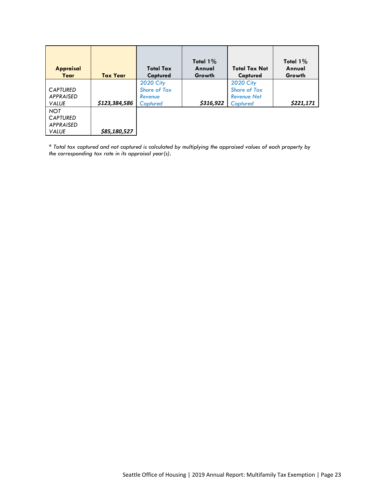| <b>Appraisal</b><br>Year                                          | <b>Tax Year</b> | Total Tax<br>Captured                                          | Total $1\%$<br>Annual<br>Growth | <b>Total Tax Not</b><br>Captured                                          | Total $1\%$<br>Annual<br>Growth |
|-------------------------------------------------------------------|-----------------|----------------------------------------------------------------|---------------------------------|---------------------------------------------------------------------------|---------------------------------|
| <b>CAPTURED</b><br><b>APPRAISED</b><br><b>VALUE</b>               | \$123,384,586   | <b>2020 City</b><br><b>Share of Tax</b><br>Revenue<br>Captured | \$316,922                       | <b>2020 City</b><br><b>Share of Tax</b><br><b>Revenue Not</b><br>Captured | \$221,171                       |
| <b>NOT</b><br><b>CAPTURED</b><br><b>APPRAISED</b><br><b>VALUE</b> | \$85,180,527    |                                                                |                                 |                                                                           |                                 |

*\* Total tax captured and not captured is calculated by multiplying the appraised values of each property by the corresponding tax rate in its appraisal year(s).*